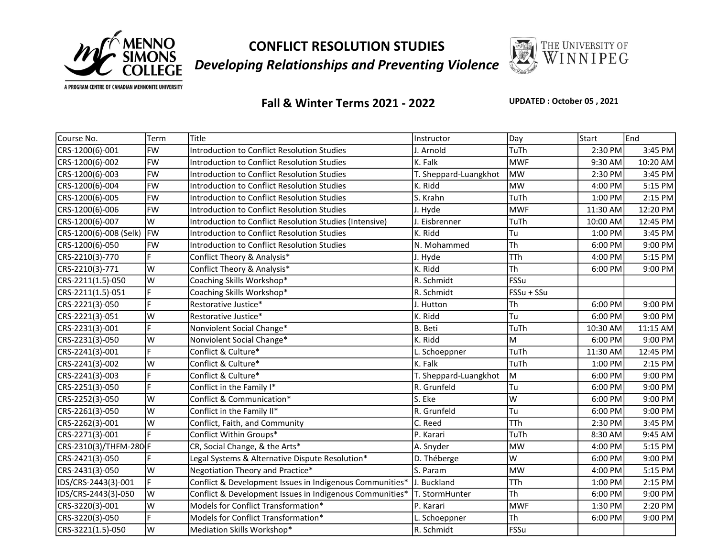

CONFLICT RESOLUTION STUDIES Developing Relationships and Preventing Violence



A PROGRAM CENTRE OF CANADIAN MENNONITE UNIVERSITY

## Fall & Winter Terms 2021 - 2022

UPDATED : October 05 , 2021

| Course No.             | Term      | Title                                                    | Instructor            | Day        | Start    | End        |
|------------------------|-----------|----------------------------------------------------------|-----------------------|------------|----------|------------|
| CRS-1200(6)-001        | <b>FW</b> | <b>Introduction to Conflict Resolution Studies</b>       | J. Arnold             | TuTh       | 2:30 PM  | 3:45 PM    |
| CRS-1200(6)-002        | <b>FW</b> | <b>Introduction to Conflict Resolution Studies</b>       | K. Falk               | <b>MWF</b> | 9:30 AM  | 10:20 AM   |
| CRS-1200(6)-003        | <b>FW</b> | Introduction to Conflict Resolution Studies              | T. Sheppard-Luangkhot | <b>MW</b>  | 2:30 PM  | 3:45 PM    |
| CRS-1200(6)-004        | <b>FW</b> | Introduction to Conflict Resolution Studies              | K. Ridd               | <b>MW</b>  | 4:00 PM  | 5:15 PM    |
| CRS-1200(6)-005        | FW        | <b>Introduction to Conflict Resolution Studies</b>       | S. Krahn              | TuTh       | 1:00 PM  | $2:15$ PM  |
| CRS-1200(6)-006        | <b>FW</b> | Introduction to Conflict Resolution Studies              | J. Hyde               | <b>MWF</b> | 11:30 AM | 12:20 PM   |
| CRS-1200(6)-007        | W         | Introduction to Conflict Resolution Studies (Intensive)  | J. Eisbrenner         | TuTh       | 10:00 AM | 12:45 PM   |
| CRS-1200(6)-008 (Selk) | <b>FW</b> | <b>Introduction to Conflict Resolution Studies</b>       | K. Ridd               | Tu         | 1:00 PM  | 3:45 PM    |
| CRS-1200(6)-050        | <b>FW</b> | Introduction to Conflict Resolution Studies              | N. Mohammed           | Th         | 6:00 PM  | 9:00 PM    |
| CRS-2210(3)-770        | F         | Conflict Theory & Analysis*                              | J. Hyde               | <b>TTh</b> | 4:00 PM  | 5:15 PM    |
| CRS-2210(3)-771        | W         | Conflict Theory & Analysis*                              | K. Ridd               | Th         | 6:00 PM  | 9:00 PM    |
| CRS-2211(1.5)-050      | W         | Coaching Skills Workshop*                                | R. Schmidt            | FSSu       |          |            |
| CRS-2211(1.5)-051      | F         | Coaching Skills Workshop*                                | R. Schmidt            | FSSu + SSu |          |            |
| CRS-2221(3)-050        | F         | Restorative Justice*                                     | J. Hutton             | Th         | 6:00 PM  | 9:00 PM    |
| CRS-2221(3)-051        | W         | Restorative Justice*                                     | K. Ridd               | Tu         | 6:00 PM  | 9:00 PM    |
| CRS-2231(3)-001        | F.        | Nonviolent Social Change*                                | B. Beti               | TuTh       | 10:30 AM | $11:15$ AM |
| CRS-2231(3)-050        | W         | Nonviolent Social Change*                                | K. Ridd               | M          | 6:00 PM  | 9:00 PM    |
| CRS-2241(3)-001        | F         | Conflict & Culture*                                      | L. Schoeppner         | TuTh       | 11:30 AM | 12:45 PM   |
| CRS-2241(3)-002        | W         | Conflict & Culture*                                      | K. Falk               | TuTh       | 1:00 PM  | 2:15 PM    |
| CRS-2241(3)-003        | F         | Conflict & Culture*                                      | T. Sheppard-Luangkhot | M          | 6:00 PM  | 9:00 PM    |
| CRS-2251(3)-050        | E.        | Conflict in the Family I*                                | R. Grunfeld           | Tu         | 6:00 PM  | 9:00 PM    |
| CRS-2252(3)-050        | W         | Conflict & Communication*                                | S. Eke                | W          | 6:00 PM  | 9:00 PM    |
| CRS-2261(3)-050        | W         | Conflict in the Family II*                               | R. Grunfeld           | Tu         | 6:00 PM  | 9:00 PM    |
| CRS-2262(3)-001        | W         | Conflict, Faith, and Community                           | C. Reed               | <b>TTh</b> | 2:30 PM  | 3:45 PM    |
| CRS-2271(3)-001        | F         | Conflict Within Groups*                                  | P. Karari             | TuTh       | 8:30 AM  | 9:45 AM    |
| CRS-2310(3)/THFM-280 F |           | CR, Social Change, & the Arts*                           | A. Snyder             | <b>MW</b>  | 4:00 PM  | 5:15 PM    |
| CRS-2421(3)-050        | F         | Legal Systems & Alternative Dispute Resolution*          | D. Théberge           | W          | 6:00 PM  | 9:00 PM    |
| CRS-2431(3)-050        | lw        | Negotiation Theory and Practice*                         | S. Param              | <b>MW</b>  | 4:00 PM  | 5:15 PM    |
| IDS/CRS-2443(3)-001    | F         | Conflict & Development Issues in Indigenous Communities* | J. Buckland           | <b>TTh</b> | 1:00 PM  | $2:15$ PM  |
| IDS/CRS-2443(3)-050    | W         | Conflict & Development Issues in Indigenous Communities* | T. StormHunter        | Th         | 6:00 PM  | 9:00 PM    |
| CRS-3220(3)-001        | W         | Models for Conflict Transformation*                      | P. Karari             | <b>MWF</b> | 1:30 PM  | 2:20 PM    |
| CRS-3220(3)-050        | F         | Models for Conflict Transformation*                      | L. Schoeppner         | Th         | 6:00 PM  | 9:00 PM    |
| CRS-3221(1.5)-050      | W         | Mediation Skills Workshop*                               | R. Schmidt            | FSSu       |          |            |